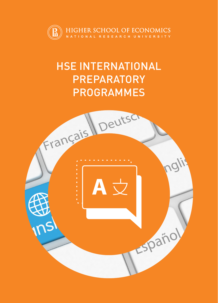

# HSE INTERNATIONAL **PREPARATORY** PROGRAMMES

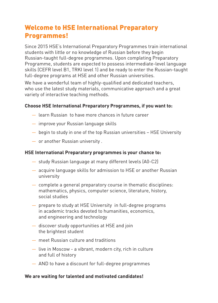## Welcome to HSE International Preparatory Programmes!

Since 2015 HSE's International Preparatory Programmes train international students with little or no knowledge of Russian before they begin Russian-taught full-degree programmes. Upon completing Preparatory Programme, students are expected to possess intermediate-level language skills (CEFR level B1, TRKI level 1) and be ready to enter the Russian-taught full-degree programs at HSE and other Russian universities.

We have a wonderful team of highly-qualified and dedicated teachers, who use the latest study materials, communicative approach and a great variety of interactive teaching methods.

### **Choose HSE International Preparatory Programmes, if you want to:**

- learn Russian to have more chances in future career
- improve your Russian language skills
- begin to study in one of the top Russian universities HSE University
- or another Russian university .

#### **HSE International Preparatory programmes is your chance to:**

- study Russian language at many different levels (А0-С2)
- acquire language skills for admission to HSE or another Russian university
- complete a general preparatory course in thematic disciplines: mathematics, physics, computer science, literature, history, social studies
- prepare to study at HSE University in full-degree programs in academic tracks devoted to humanities, economics, and engineering and technology
- discover study opportunities at HSE and join the brightest student
- meet Russian culture and traditions
- live in Moscow a vibrant, modern city, rich in culture and full of history
- AND to have a discount for full-degree programmes

#### **We are waiting for talented and motivated candidates!**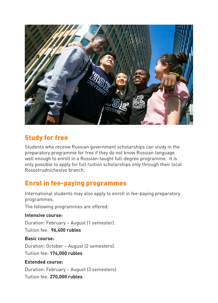

### Study for free

Students who receive Russian government scholarships can study in the preparatory programme for free if they do not know Russian language well enough to enroll in a Russian-taught full-degree programme. It is only possible to apply for full-tuition scholarships only through their local Rossotrudnichestvo branch.

### Enrol in fee-paying programmes

International students may also apply to enroll in fee-paying preparatory programmes.

The following programmes are offered:

### **Intensive course:**

Duration: February – August (1 semester).

Tuition fee: **96,400 rubles**

### **Basic course:**

Duration: October – August (2 semesters). Tuition fee: **174,000 rubles**

### **Extended course:**

Duration: February – August (3 semesters) Tuition fee: **270,000 rubles**